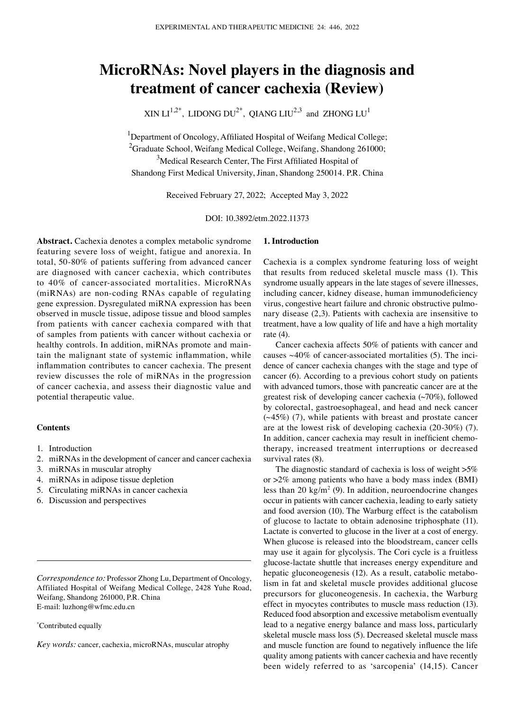# **MicroRNAs: Novel players in the diagnosis and treatment of cancer cachexia (Review)**

 $XIN L1^{1,2^*}$ , LIDONG  $DU^{2^*}$ , OIANG  $LU^{2,3}$  and ZHONG  $LU^{1}$ 

<sup>1</sup>Department of Oncology, Affiliated Hospital of Weifang Medical College; <sup>2</sup>Graduate School, Weifang Medical College, Weifang, Shandong 261000; <sup>3</sup>Medical Research Center, The First Affiliated Hospital of Shandong First Medical University, Jinan, Shandong 250014. P.R. China

Received February 27, 2022; Accepted May 3, 2022

DOI: 10.3892/etm.2022.11373

**Abstract.** Cachexia denotes a complex metabolic syndrome featuring severe loss of weight, fatigue and anorexia. In total, 50‑80% of patients suffering from advanced cancer are diagnosed with cancer cachexia, which contributes to 40% of cancer‑associated mortalities. MicroRNAs (miRNAs) are non‑coding RNAs capable of regulating gene expression. Dysregulated miRNA expression has been observed in muscle tissue, adipose tissue and blood samples from patients with cancer cachexia compared with that of samples from patients with cancer without cachexia or healthy controls. In addition, miRNAs promote and maintain the malignant state of systemic inflammation, while inflammation contributes to cancer cachexia. The present review discusses the role of miRNAs in the progression of cancer cachexia, and assess their diagnostic value and potential therapeutic value.

## **Contents**

- 1. Introduction
- 2. miRNAs in the development of cancer and cancer cachexia
- 3. miRNAs in muscular atrophy
- 4. miRNAs in adipose tissue depletion
- 5. Circulating miRNAs in cancer cachexia
- 6. Discussion and perspectives

#### \* Contributed equally

*Key words:* cancer, cachexia, microRNAs, muscular atrophy

#### **1. Introduction**

Cachexia is a complex syndrome featuring loss of weight that results from reduced skeletal muscle mass (1). This syndrome usually appears in the late stages of severe illnesses, including cancer, kidney disease, human immunodeficiency virus, congestive heart failure and chronic obstructive pulmonary disease (2,3). Patients with cachexia are insensitive to treatment, have a low quality of life and have a high mortality rate (4).

Cancer cachexia affects 50% of patients with cancer and causes  $~40\%$  of cancer-associated mortalities (5). The incidence of cancer cachexia changes with the stage and type of cancer (6). According to a previous cohort study on patients with advanced tumors, those with pancreatic cancer are at the greatest risk of developing cancer cachexia (~70%), followed by colorectal, gastroesophageal, and head and neck cancer  $(\sim45\%)$  (7), while patients with breast and prostate cancer are at the lowest risk of developing cachexia (20‑30%) (7). In addition, cancer cachexia may result in inefficient chemotherapy, increased treatment interruptions or decreased survival rates (8).

The diagnostic standard of cachexia is loss of weight  $>5\%$ or >2% among patients who have a body mass index (BMI) less than 20 kg/m<sup>2</sup> (9). In addition, neuroendocrine changes occur in patients with cancer cachexia, leading to early satiety and food aversion (10). The Warburg effect is the catabolism of glucose to lactate to obtain adenosine triphosphate (11). Lactate is converted to glucose in the liver at a cost of energy. When glucose is released into the bloodstream, cancer cells may use it again for glycolysis. The Cori cycle is a fruitless glucose‑lactate shuttle that increases energy expenditure and hepatic gluconeogenesis (12). As a result, catabolic metabolism in fat and skeletal muscle provides additional glucose precursors for gluconeogenesis. In cachexia, the Warburg effect in myocytes contributes to muscle mass reduction (13). Reduced food absorption and excessive metabolism eventually lead to a negative energy balance and mass loss, particularly skeletal muscle mass loss (5). Decreased skeletal muscle mass and muscle function are found to negatively influence the life quality among patients with cancer cachexia and have recently been widely referred to as 'sarcopenia' (14,15). Cancer

*Correspondence to:* Professor Zhong Lu, Department of Oncology, Affiliated Hospital of Weifang Medical College, 2428 Yuhe Road, Weifang, Shandong 261000, P.R. China E‑mail: luzhong@wfmc.edu.cn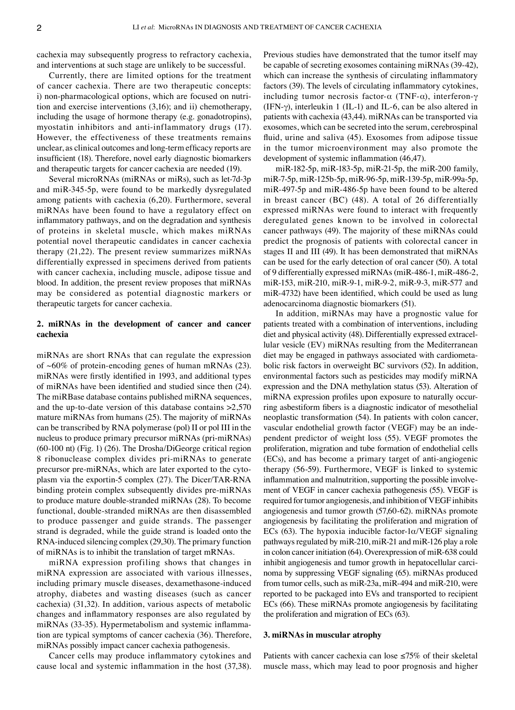cachexia may subsequently progress to refractory cachexia, and interventions at such stage are unlikely to be successful.

Currently, there are limited options for the treatment of cancer cachexia. There are two therapeutic concepts: i) non-pharmacological options, which are focused on nutrition and exercise interventions (3,16); and ii) chemotherapy, including the usage of hormone therapy (e.g. gonadotropins), myostatin inhibitors and anti-inflammatory drugs (17). However, the effectiveness of these treatments remains unclear, as clinical outcomes and long‑term efficacy reports are insufficient (18). Therefore, novel early diagnostic biomarkers and therapeutic targets for cancer cachexia are needed (19).

Several microRNAs (miRNAs or miRs), such as let-7d-3p and miR‑345‑5p, were found to be markedly dysregulated among patients with cachexia (6,20). Furthermore, several miRNAs have been found to have a regulatory effect on inflammatory pathways, and on the degradation and synthesis of proteins in skeletal muscle, which makes miRNAs potential novel therapeutic candidates in cancer cachexia therapy (21,22). The present review summarizes miRNAs differentially expressed in specimens derived from patients with cancer cachexia, including muscle, adipose tissue and blood. In addition, the present review proposes that miRNAs may be considered as potential diagnostic markers or therapeutic targets for cancer cachexia.

## **2. miRNAs in the development of cancer and cancer cachexia**

miRNAs are short RNAs that can regulate the expression of  $~60\%$  of protein-encoding genes of human mRNAs (23). miRNAs were firstly identified in 1993, and additional types of miRNAs have been identified and studied since then (24). The miRBase database contains published miRNA sequences, and the up-to-date version of this database contains  $>2,570$ mature miRNAs from humans (25). The majority of miRNAs can be transcribed by RNA polymerase (pol) II or pol III in the nucleus to produce primary precursor miRNAs (pri‑miRNAs) (60‑100 nt) (Fig. 1) (26). The Drosha/DiGeorge critical region 8 ribonuclease complex divides pri‑miRNAs to generate precursor pre-miRNAs, which are later exported to the cytoplasm via the exportin‑5 complex (27). The Dicer/TAR‑RNA binding protein complex subsequently divides pre‑miRNAs to produce mature double‑stranded miRNAs (28). To become functional, double‑stranded miRNAs are then disassembled to produce passenger and guide strands. The passenger strand is degraded, while the guide strand is loaded onto the RNA‑induced silencing complex (29,30). The primary function of miRNAs is to inhibit the translation of target mRNAs.

miRNA expression profiling shows that changes in miRNA expression are associated with various illnesses, including primary muscle diseases, dexamethasone‑induced atrophy, diabetes and wasting diseases (such as cancer cachexia) (31,32). In addition, various aspects of metabolic changes and inflammatory responses are also regulated by miRNAs (33-35). Hypermetabolism and systemic inflammation are typical symptoms of cancer cachexia (36). Therefore, miRNAs possibly impact cancer cachexia pathogenesis.

Cancer cells may produce inflammatory cytokines and cause local and systemic inflammation in the host (37,38). Previous studies have demonstrated that the tumor itself may be capable of secreting exosomes containing miRNAs (39‑42), which can increase the synthesis of circulating inflammatory factors (39). The levels of circulating inflammatory cytokines, including tumor necrosis factor- $\alpha$  (TNF- $\alpha$ ), interferon- $\gamma$ (IFN- $\gamma$ ), interleukin 1 (IL-1) and IL-6, can be also altered in patients with cachexia (43,44). miRNAs can be transported via exosomes, which can be secreted into the serum, cerebrospinal fluid, urine and saliva (45). Exosomes from adipose tissue in the tumor microenvironment may also promote the development of systemic inflammation (46,47).

miR‑182‑5p, miR‑183‑5p, miR‑21‑5p, the miR‑200 family, miR‑7‑5p, miR‑125b‑5p, miR‑96‑5p, miR‑139‑5p, miR‑99a‑5p, miR‑497‑5p and miR‑486‑5p have been found to be altered in breast cancer (BC) (48). A total of 26 differentially expressed miRNAs were found to interact with frequently deregulated genes known to be involved in colorectal cancer pathways (49). The majority of these miRNAs could predict the prognosis of patients with colorectal cancer in stages II and III (49). It has been demonstrated that miRNAs can be used for the early detection of oral cancer (50). A total of 9 differentially expressed miRNAs (miR‑486‑1, miR‑486‑2, miR‑153, miR‑210, miR‑9‑1, miR‑9‑2, miR‑9‑3, miR‑577 and miR‑4732) have been identified, which could be used as lung adenocarcinoma diagnostic biomarkers (51).

In addition, miRNAs may have a prognostic value for patients treated with a combination of interventions, including diet and physical activity (48). Differentially expressed extracellular vesicle (EV) miRNAs resulting from the Mediterranean diet may be engaged in pathways associated with cardiometabolic risk factors in overweight BC survivors (52). In addition, environmental factors such as pesticides may modify miRNA expression and the DNA methylation status (53). Alteration of miRNA expression profiles upon exposure to naturally occurring asbestiform fibers is a diagnostic indicator of mesothelial neoplastic transformation (54). In patients with colon cancer, vascular endothelial growth factor (VEGF) may be an independent predictor of weight loss (55). VEGF promotes the proliferation, migration and tube formation of endothelial cells (ECs), and has become a primary target of anti‑angiogenic therapy (56‑59). Furthermore, VEGF is linked to systemic inflammation and malnutrition, supporting the possible involvement of VEGF in cancer cachexia pathogenesis (55). VEGF is required for tumor angiogenesis, and inhibition of VEGF inhibits angiogenesis and tumor growth (57,60‑62). miRNAs promote angiogenesis by facilitating the proliferation and migration of ECs (63). The hypoxia inducible factor- $1\alpha / VEGF$  signaling pathways regulated by miR‑210, miR‑21 and miR‑126 play a role in colon cancer initiation (64). Overexpression of miR‑638 could inhibit angiogenesis and tumor growth in hepatocellular carcinoma by suppressing VEGF signaling (65). miRNAs produced from tumor cells, such as miR‑23a, miR‑494 and miR‑210, were reported to be packaged into EVs and transported to recipient ECs (66). These miRNAs promote angiogenesis by facilitating the proliferation and migration of ECs (63).

## **3. miRNAs in muscular atrophy**

Patients with cancer cachexia can lose  $\leq 75\%$  of their skeletal muscle mass, which may lead to poor prognosis and higher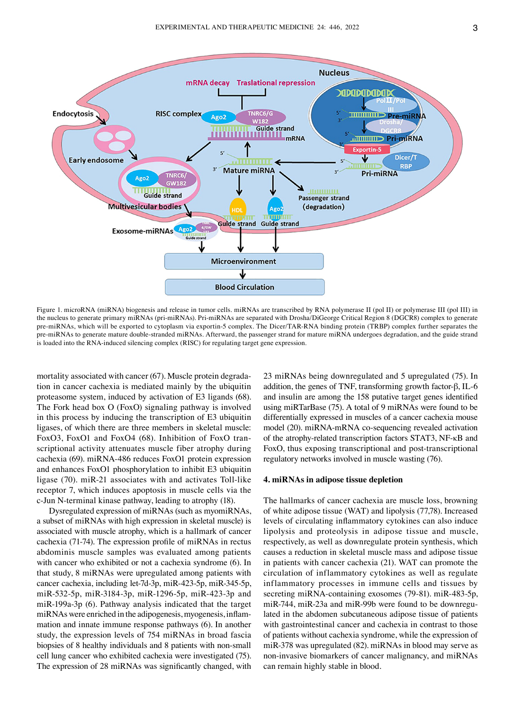

Figure 1. microRNA (miRNA) biogenesis and release in tumor cells. miRNAs are transcribed by RNA polymerase II (pol II) or polymerase III (pol III) in the nucleus to generate primary miRNAs (pri‑miRNAs). Pri‑miRNAs are separated with Drosha/DiGeorge Critical Region 8 (DGCR8) complex to generate pre-miRNAs, which will be exported to cytoplasm via exportin-5 complex. The Dicer/TAR-RNA binding protein (TRBP) complex further separates the pre-miRNAs to generate mature double-stranded miRNAs. Afterward, the passenger strand for mature miRNA undergoes degradation, and the guide strand is loaded into the RNA‑induced silencing complex (RISC) for regulating target gene expression.

mortality associated with cancer (67). Muscle protein degradation in cancer cachexia is mediated mainly by the ubiquitin proteasome system, induced by activation of E3 ligands (68). The Fork head box O (FoxO) signaling pathway is involved in this process by inducing the transcription of E3 ubiquitin ligases, of which there are three members in skeletal muscle: FoxO3, FoxO1 and FoxO4 (68). Inhibition of FoxO transcriptional activity attenuates muscle fiber atrophy during cachexia (69). miRNA‑486 reduces FoxO1 protein expression and enhances FoxO1 phosphorylation to inhibit E3 ubiquitin ligase (70). miR-21 associates with and activates Toll-like receptor 7, which induces apoptosis in muscle cells via the c‑Jun N‑terminal kinase pathway, leading to atrophy (18).

Dysregulated expression of miRNAs (such as myomiRNAs, a subset of miRNAs with high expression in skeletal muscle) is associated with muscle atrophy, which is a hallmark of cancer cachexia (71‑74). The expression profile of miRNAs in rectus abdominis muscle samples was evaluated among patients with cancer who exhibited or not a cachexia syndrome (6). In that study, 8 miRNAs were upregulated among patients with cancer cachexia, including let‑7d‑3p, miR‑423‑5p, miR‑345‑5p, miR‑532‑5p, miR‑3184‑3p, miR‑1296‑5p, miR‑423‑3p and miR-199a-3p (6). Pathway analysis indicated that the target miRNAs were enriched in the adipogenesis, myogenesis, inflammation and innate immune response pathways (6). In another study, the expression levels of 754 miRNAs in broad fascia biopsies of 8 healthy individuals and 8 patients with non-small cell lung cancer who exhibited cachexia were investigated (75). The expression of 28 miRNAs was significantly changed, with 23 miRNAs being downregulated and 5 upregulated (75). In addition, the genes of TNF, transforming growth factor‑β, IL‑6 and insulin are among the 158 putative target genes identified using miRTarBase (75). A total of 9 miRNAs were found to be differentially expressed in muscles of a cancer cachexia mouse model (20). miRNA‑mRNA co‑sequencing revealed activation of the atrophy‑related transcription factors STAT3, NF‑κB and FoxO, thus exposing transcriptional and post-transcriptional regulatory networks involved in muscle wasting (76).

## **4. miRNAs in adipose tissue depletion**

The hallmarks of cancer cachexia are muscle loss, browning of white adipose tissue (WAT) and lipolysis (77,78). Increased levels of circulating inflammatory cytokines can also induce lipolysis and proteolysis in adipose tissue and muscle, respectively, as well as downregulate protein synthesis, which causes a reduction in skeletal muscle mass and adipose tissue in patients with cancer cachexia (21). WAT can promote the circulation of inflammatory cytokines as well as regulate inflammatory processes in immune cells and tissues by secreting miRNA-containing exosomes (79-81). miR-483-5p, miR-744, miR-23a and miR-99b were found to be downregulated in the abdomen subcutaneous adipose tissue of patients with gastrointestinal cancer and cachexia in contrast to those of patients without cachexia syndrome, while the expression of miR‑378 was upregulated (82). miRNAs in blood may serve as non‑invasive biomarkers of cancer malignancy, and miRNAs can remain highly stable in blood.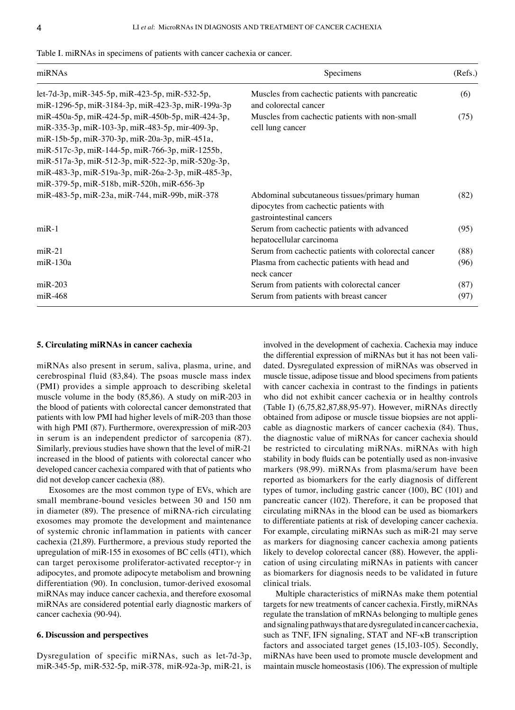| miRNAs                                                                                                                                                | Specimens                                                                                                          | (Refs.) |
|-------------------------------------------------------------------------------------------------------------------------------------------------------|--------------------------------------------------------------------------------------------------------------------|---------|
| let-7d-3p, miR-345-5p, miR-423-5p, miR-532-5p,<br>miR-1296-5p, miR-3184-3p, miR-423-3p, miR-199a-3p                                                   | Muscles from cachectic patients with pancreatic<br>and colorectal cancer                                           | (6)     |
| miR-450a-5p, miR-424-5p, miR-450b-5p, miR-424-3p,<br>miR-335-3p, miR-103-3p, miR-483-5p, mir-409-3p,<br>miR-15b-5p, miR-370-3p, miR-20a-3p, miR-451a, | Muscles from cachectic patients with non-small<br>cell lung cancer                                                 | (75)    |
| miR-517c-3p, miR-144-5p, miR-766-3p, miR-1255b,                                                                                                       |                                                                                                                    |         |
| miR-517a-3p, miR-512-3p, miR-522-3p, miR-520g-3p,<br>miR-483-3p, miR-519a-3p, miR-26a-2-3p, miR-485-3p,<br>miR-379-5p, miR-518b, miR-520h, miR-656-3p |                                                                                                                    |         |
| miR-483-5p, miR-23a, miR-744, miR-99b, miR-378                                                                                                        | Abdominal subcutaneous tissues/primary human<br>dipocytes from cachectic patients with<br>gastrointestinal cancers | (82)    |
| $miR-1$                                                                                                                                               | Serum from cachectic patients with advanced<br>hepatocellular carcinoma                                            | (95)    |
| $miR-21$                                                                                                                                              | Serum from cachectic patients with colorectal cancer                                                               | (88)    |
| $m$ i $R-130a$                                                                                                                                        | Plasma from cachectic patients with head and<br>neck cancer                                                        | (96)    |
| $m$ iR-203                                                                                                                                            | Serum from patients with colorectal cancer                                                                         | (87)    |
| $m$ iR-468                                                                                                                                            | Serum from patients with breast cancer                                                                             | (97)    |

Table I. miRNAs in specimens of patients with cancer cachexia or cancer.

## **5. Circulating miRNAs in cancer cachexia**

miRNAs also present in serum, saliva, plasma, urine, and cerebrospinal fluid (83,84). The psoas muscle mass index (PMI) provides a simple approach to describing skeletal muscle volume in the body (85,86). A study on miR-203 in the blood of patients with colorectal cancer demonstrated that patients with low PMI had higher levels of miR‑203 than those with high PMI (87). Furthermore, overexpression of miR-203 in serum is an independent predictor of sarcopenia (87). Similarly, previous studies have shown that the level of miR‑21 increased in the blood of patients with colorectal cancer who developed cancer cachexia compared with that of patients who did not develop cancer cachexia (88).

Exosomes are the most common type of EVs, which are small membrane‑bound vesicles between 30 and 150 nm in diameter (89). The presence of miRNA-rich circulating exosomes may promote the development and maintenance of systemic chronic inflammation in patients with cancer cachexia (21,89). Furthermore, a previous study reported the upregulation of miR‑155 in exosomes of BC cells (4T1), which can target peroxisome proliferator‑activated receptor‑γ in adipocytes, and promote adipocyte metabolism and browning differentiation (90). In conclusion, tumor-derived exosomal miRNAs may induce cancer cachexia, and therefore exosomal miRNAs are considered potential early diagnostic markers of cancer cachexia (90‑94).

## **6. Discussion and perspectives**

Dysregulation of specific miRNAs, such as let-7d-3p, miR‑345‑5p, miR‑532‑5p, miR‑378, miR‑92a‑3p, miR‑21, is involved in the development of cachexia. Cachexia may induce the differential expression of miRNAs but it has not been validated. Dysregulated expression of miRNAs was observed in muscle tissue, adipose tissue and blood specimens from patients with cancer cachexia in contrast to the findings in patients who did not exhibit cancer cachexia or in healthy controls (Table I) (6,75,82,87,88,95‑97). However, miRNAs directly obtained from adipose or muscle tissue biopsies are not applicable as diagnostic markers of cancer cachexia (84). Thus, the diagnostic value of miRNAs for cancer cachexia should be restricted to circulating miRNAs. miRNAs with high stability in body fluids can be potentially used as non‑invasive markers (98,99). miRNAs from plasma/serum have been reported as biomarkers for the early diagnosis of different types of tumor, including gastric cancer (100), BC (101) and pancreatic cancer (102). Therefore, it can be proposed that circulating miRNAs in the blood can be used as biomarkers to differentiate patients at risk of developing cancer cachexia. For example, circulating miRNAs such as miR‑21 may serve as markers for diagnosing cancer cachexia among patients likely to develop colorectal cancer (88). However, the application of using circulating miRNAs in patients with cancer as biomarkers for diagnosis needs to be validated in future clinical trials.

Multiple characteristics of miRNAs make them potential targets for new treatments of cancer cachexia. Firstly, miRNAs regulate the translation of mRNAs belonging to multiple genes and signaling pathways that are dysregulated in cancer cachexia, such as TNF, IFN signaling, STAT and NF‑κB transcription factors and associated target genes (15,103‑105). Secondly, miRNAs have been used to promote muscle development and maintain muscle homeostasis (106). The expression of multiple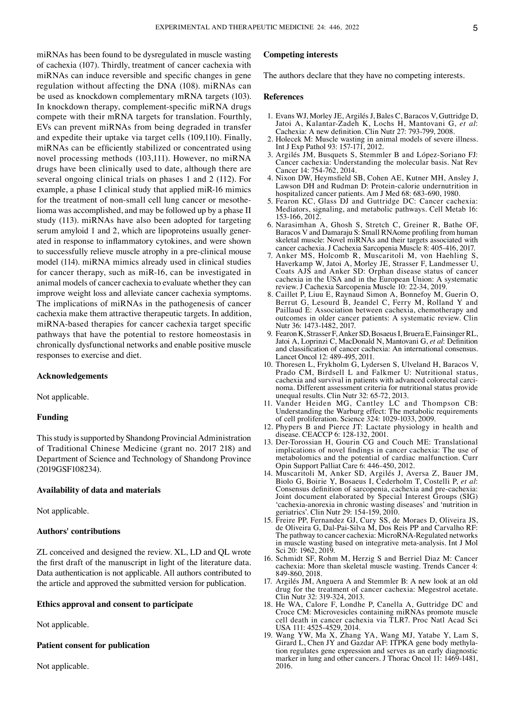miRNAs has been found to be dysregulated in muscle wasting of cachexia (107). Thirdly, treatment of cancer cachexia with miRNAs can induce reversible and specific changes in gene regulation without affecting the DNA (108). miRNAs can be used as knockdown complementary mRNA targets (103). In knockdown therapy, complement‑specific miRNA drugs compete with their mRNA targets for translation. Fourthly, EVs can prevent miRNAs from being degraded in transfer and expedite their uptake via target cells (109,110). Finally, miRNAs can be efficiently stabilized or concentrated using novel processing methods (103,111). However, no miRNA drugs have been clinically used to date, although there are several ongoing clinical trials on phases 1 and 2 (112). For example, a phase I clinical study that applied miR-16 mimics for the treatment of non-small cell lung cancer or mesothelioma was accomplished, and may be followed up by a phase II study (113). miRNAs have also been adopted for targeting serum amyloid 1 and 2, which are lipoproteins usually generated in response to inflammatory cytokines, and were shown to successfully relieve muscle atrophy in a pre‑clinical mouse model (114). miRNA mimics already used in clinical studies for cancer therapy, such as miR-16, can be investigated in animal models of cancer cachexia to evaluate whether they can improve weight loss and alleviate cancer cachexia symptoms. The implications of miRNAs in the pathogenesis of cancer cachexia make them attractive therapeutic targets. In addition, miRNA‑based therapies for cancer cachexia target specific pathways that have the potential to restore homeostasis in chronically dysfunctional networks and enable positive muscle responses to exercise and diet.

## **Acknowledgements**

Not applicable.

## **Funding**

This study is supported by Shandong Provincial Administration of Traditional Chinese Medicine (grant no. 2017 218) and Department of Science and Technology of Shandong Province (2019GSF108234).

## **Availability of data and materials**

Not applicable.

## **Authors' contributions**

ZL conceived and designed the review. XL, LD and QL wrote the first draft of the manuscript in light of the literature data. Data authentication is not applicable. All authors contributed to the article and approved the submitted version for publication.

## **Ethics approval and consent to participate**

Not applicable.

## **Patient consent for publication**

Not applicable.

# **Competing interests**

The authors declare that they have no competing interests.

#### **References**

- 1. Evans WJ, Morley JE, Argilés J, Bales C, Baracos V, Guttridge D, Jatoi A, Kalantar‑Zadeh K, Lochs H, Mantovani G, *et al*: Cachexia: A new definition. Clin Nutr 27: 793‑799, 2008.
- 2. Holecek M: Muscle wasting in animal models of severe illness. Int J Exp Pathol 93: 157‑171, 2012.
- 3. Argilés JM, Busquets S, Stemmler B and López‑Soriano FJ: Cancer cachexia: Understanding the molecular basis. Nat Rev Cancer 14: 754‑762, 2014.
- 4. Nixon DW, Heymsfield SB, Cohen AE, Kutner MH, Ansley J, Lawson DH and Rudman D: Protein‑calorie undernutrition in hospitalized cancer patients. Am J Med 68: 683‑690, 1980.
- 5. Fearon KC, Glass DJ and Guttridge DC: Cancer cachexia: Mediators, signaling, and metabolic pathways. Cell Metab 16: 153‑166, 2012.
- 6. Narasimhan A, Ghosh S, Stretch C, Greiner R, Bathe OF, Baracos V and Damaraju S: Small RNAome profiling from human skeletal muscle: Novel miRNAs and their targets associated with cancer cachexia. J Cachexia Sarcopenia Muscle 8: 405‑416, 2017.
- 7. Anker MS, Holcomb R, Muscaritoli M, von Haehling S, Haverkamp W, Jatoi A, Morley JE, Strasser F, Landmesser U, Coats AJS and Anker SD: Orphan disease status of cancer cachexia in the USA and in the European Union: A systematic review. J Cachexia Sarcopenia Muscle 10: 22‑34, 2019.
- 8. Caillet P, Liuu E, Raynaud Simon A, Bonnefoy M, Guerin O, Berrut G, Lesourd B, Jeandel C, Ferry M, Rolland Y and Paillaud E: Association between cachexia, chemotherapy and outcomes in older cancer patients: A systematic review. Clin Nutr 36: 1473‑1482, 2017.
- 9. Fearon K, Strasser F, Anker SD, Bosaeus I, Bruera E, Fainsinger RL, Jatoi A, Loprinzi C, MacDonald N, Mantovani G, *et al*: Definition and classification of cancer cachexia: An international consensus. Lancet Oncol 12: 489‑495, 2011.
- 10. Thoresen L, Frykholm G, Lydersen S, Ulveland H, Baracos V, Prado CM, Birdsell L and Falkmer U: Nutritional status, cachexia and survival in patients with advanced colorectal carcinoma. Different assessment criteria for nutritional status provide unequal results. Clin Nutr 32: 65‑72, 2013.
- 11. Vander Heiden MG, Cantley LC and Thompson CB: Understanding the Warburg effect: The metabolic requirements of cell proliferation. Science 324: 1029‑1033, 2009.
- 12. Phypers B and Pierce JT: Lactate physiology in health and disease. CEACCP 6: 128‑132, 2001.
- 13. Der‑Torossian H, Gourin CG and Couch ME: Translational implications of novel findings in cancer cachexia: The use of metabolomics and the potential of cardiac malfunction. Curr Opin Support Palliat Care 6: 446‑450, 2012.
- 14. Muscaritoli M, Anker SD, Argilés J, Aversa Z, Bauer JM, Biolo G, Boirie Y, Bosaeus I, Cederholm T, Costelli P, *et al*: Consensus definition of sarcopenia, cachexia and pre‑cachexia: Joint document elaborated by Special Interest Groups (SIG) 'cachexia‑anorexia in chronic wasting diseases' and 'nutrition in geriatrics'. Clin Nutr 29: 154‑159, 2010.
- 15. Freire PP, Fernandez GJ, Cury SS, de Moraes D, Oliveira JS, de Oliveira G, Dal-Pai-Silva M, Dos Reis PP and Carvalho RF: The pathway to cancer cachexia: MicroRNA‑Regulated networks in muscle wasting based on integrative meta‑analysis. Int J Mol Sci 20: 1962, 2019.
- 16. Schmidt SF, Rohm M, Herzig S and Berriel Diaz M: Cancer cachexia: More than skeletal muscle wasting. Trends Cancer 4: 849‑860, 2018.
- 17. Argilés JM, Anguera A and Stemmler B: A new look at an old drug for the treatment of cancer cachexia: Megestrol acetate. Clin Nutr 32: 319‑324, 2013.
- 18. He WA, Calore F, Londhe P, Canella A, Guttridge DC and Croce CM: Microvesicles containing miRNAs promote muscle cell death in cancer cachexia via TLR7. Proc Natl Acad Sci USA 111: 4525‑4529, 2014.
- 19. Wang YW, Ma X, Zhang YA, Wang MJ, Yatabe Y, Lam S, Girard L, Chen JY and Gazdar AF: ITPKA gene body methylation regulates gene expression and serves as an early diagnostic marker in lung and other cancers. J Thorac Oncol 11: 1469-1481, 2016.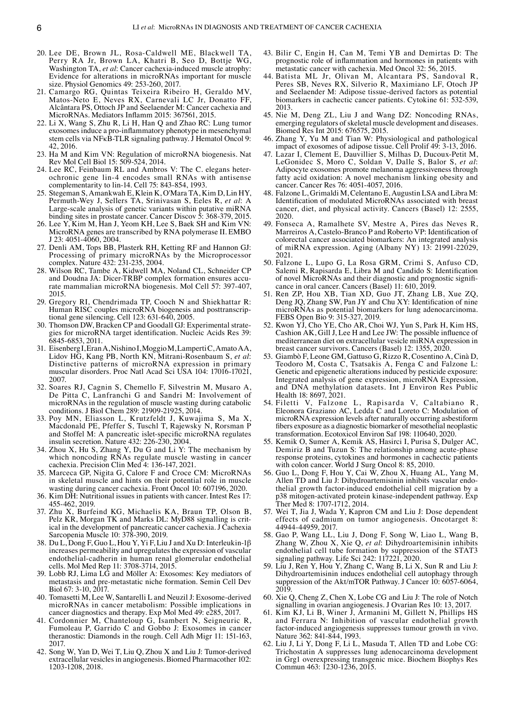- 20. Lee DE, Brown JL, Rosa‑Caldwell ME, Blackwell TA, Perry RA Jr, Brown LA, Khatri B, Seo D, Bottje WG, Washington TA, *et al*: Cancer cachexia-induced muscle atrophy: Evidence for alterations in microRNAs important for muscle size. Physiol Genomics 49: 253‑260, 2017.
- 21. Camargo RG, Quintas Teixeira Ribeiro H, Geraldo MV, Matos-Neto E, Neves RX, Carnevali LC Jr, Donatto FF, Alcântara PS, Ottoch JP and Seelaender M: Cancer cachexia and MicroRNAs. Mediators Inflamm 2015: 367561, 2015.
- 22. Li X, Wang S, Zhu R, Li H, Han Q and Zhao RC: Lung tumor exosomes induce a pro‑inflammatory phenotype in mesenchymal stem cells via NFκB‑TLR signaling pathway. J Hematol Oncol 9: 42, 2016.
- 23. Ha M and Kim VN: Regulation of microRNA biogenesis. Nat Rev Mol Cell Biol 15: 509‑524, 2014.
- 24. Lee RC, Feinbaum RL and Ambros V: The C. elegans heterochronic gene lin‑4 encodes small RNAs with antisense complementarity to lin‑14. Cell 75: 843‑854, 1993.
- 25. Stegeman S, Amankwah E, Klein K, O'Mara TA, Kim D, Lin HY, Permuth‑Wey J, Sellers TA, Srinivasan S, Eeles R, *et al*: A Large‑scale analysis of genetic variants within putative miRNA binding sites in prostate cancer. Cancer Discov 5: 368‑379, 2015.
- 26. Lee Y, Kim M, Han J, Yeom KH, Lee S, Baek SH and Kim VN: MicroRNA genes are transcribed by RNA polymerase II. EMBO J 23: 4051‑4060, 2004.
- 27. Denli AM, Tops BB, Plasterk RH, Ketting RF and Hannon GJ: Processing of primary microRNAs by the Microprocessor complex. Nature 432: 231‑235, 2004.
- 28. Wilson RC, Tambe A, Kidwell MA, Noland CL, Schneider CP and Doudna JA: Dicer-TRBP complex formation ensures accurate mammalian microRNA biogenesis. Mol Cell 57: 397‑407, 2015.
- 29. Gregory RI, Chendrimada TP, Cooch N and Shiekhattar R: Human RISC couples microRNA biogenesis and posttranscriptional gene silencing. Cell 123: 631‑640, 2005.
- 30. Thomson DW, Bracken CP and Goodall GJ: Experimental strategies for microRNA target identification. Nucleic Acids Res 39: 6845‑6853, 2011.
- 31. Eisenberg I, Eran A, Nishino I, Moggio M, Lamperti C, Amato AA, Lidov HG, Kang PB, North KN, Mitrani‑Rosenbaum S, *et al*: Distinctive patterns of microRNA expression in primary muscular disorders. Proc Natl Acad Sci USA 104: 17016-17021, 2007.
- 32. Soares RJ, Cagnin S, Chemello F, Silvestrin M, Musaro A, De Pitta C, Lanfranchi G and Sandri M: Involvement of microRNAs in the regulation of muscle wasting during catabolic conditions. J Biol Chem 289: 21909‑21925, 2014.
- 33. Poy MN, Eliasson L, Krutzfeldt J, Kuwajima S, Ma X, Macdonald PE, Pfeffer S, Tuschl T, Rajewsky N, Rorsman P and Stoffel M: A pancreatic islet-specific microRNA regulates insulin secretion. Nature 432: 226‑230, 2004.
- 34. Zhou X, Hu S, Zhang Y, Du G and Li Y: The mechanism by which noncoding RNAs regulate muscle wasting in cancer cachexia. Precision Clin Med 4: 136‑147, 2021.
- 35. Marceca GP, Nigita G, Calore F and Croce CM: MicroRNAs in skeletal muscle and hints on their potential role in muscle wasting during cancer cachexia. Front Oncol 10: 607196, 2020.
- 36. Kim DH: Nutritional issues in patients with cancer. Intest Res 17: 455‑462, 2019.
- 37. Zhu X, Burfeind KG, Michaelis KA, Braun TP, Olson B, Pelz KR, Morgan TK and Marks DL: MyD88 signalling is crit-<br>ical in the development of pancreatic cancer cachexia. J Cachexia Sarcopenia Muscle 10: 378‑390, 2019.
- 38. Du L, Dong F, Guo L, Hou Y, Yi F, Liu J and Xu D: Interleukin‑1β increases permeability and upregulates the expression of vascular endothelial‑cadherin in human renal glomerular endothelial cells. Mol Med Rep 11: 3708‑3714, 2015.
- 39. Lobb RJ, Lima LG and Möller A: Exosomes: Key mediators of metastasis and pre‑metastatic niche formation. Semin Cell Dev Biol 67: 3‑10, 2017.
- 40. Tomasetti M, Lee W, Santarelli L and Neuzil J: Exosome‑derived microRNAs in cancer metabolism: Possible implications in cancer diagnostics and therapy. Exp Mol Med 49: e285, 2017.
- 41. Cordonnier M, Chanteloup G, Isambert N, Seigneuric R, Fumoleau P, Garrido C and Gobbo J: Exosomes in cancer theranostic: Diamonds in the rough. Cell Adh Migr 11: 151-163, 2017.
- 42. Song W, Yan D, Wei T, Liu Q, Zhou X and Liu J: Tumor‑derived extracellular vesicles in angiogenesis. Biomed Pharmacother 102: 1203‑1208, 2018.
- 43. Bilir C, Engin H, Can M, Temi YB and Demirtas D: The prognostic role of inflammation and hormones in patients with metastatic cancer with cachexia. Med Oncol 32: 56, 2015.
- 44. Batista ML Jr, Olivan M, Alcantara PS, Sandoval R, Peres SB, Neves RX, Silverio R, Maximiano LF, Otoch JP and Seelaender M: Adipose tissue‑derived factors as potential biomarkers in cachectic cancer patients. Cytokine 61: 532-539, 2013.
- 45. Nie M, Deng ZL, Liu J and Wang DZ: Noncoding RNAs, emerging regulators of skeletal muscle development and diseases. Biomed Res Int 2015: 676575, 2015.
- 46. Zhang Y, Yu M and Tian W: Physiological and pathological impact of exosomes of adipose tissue. Cell Prolif 49: 3‑13, 2016.
- 47. Lazar I, Clement E, Dauvillier S, Milhas D, Ducoux‑Petit M, LeGonidec S, Moro C, Soldan V, Dalle S, Balor S, *et al*: Adipocyte exosomes promote melanoma aggressiveness through fatty acid oxidation: A novel mechanism linking obesity and cancer. Cancer Res 76: 4051‑4057, 2016.
- 48. Falzone L, Grimaldi M, Celentano E, Augustin LSA and Libra M: Identification of modulated MicroRNAs associated with breast cancer, diet, and physical activity. Cancers (Basel) 12: 2555, 2020.
- 49. Fonseca A, Ramalhete SV, Mestre A, Pires das Neves R, Marreiros A, Castelo‑Branco P and Roberto VP: Identification of colorectal cancer associated biomarkers: An integrated analysis of miRNA expression. Aging (Albany NY) 13: 21991‑22029, 2021.
- 50. Falzone L, Lupo G, La Rosa GRM, Crimi S, Anfuso CD, Salemi R, Rapisarda E, Libra M and Candido S: Identification of novel MicroRNAs and their diagnostic and prognostic significance in oral cancer. Cancers (Basel) 11: 610, 2019.
- 51. Ren ZP, Hou XB, Tian XD, Guo JT, Zhang LB, Xue ZQ, Deng JQ, Zhang SW, Pan JY and Chu XY: Identification of nine microRNAs as potential biomarkers for lung adenocarcinoma. FEBS Open Bio 9: 315‑327, 2019.
- 52. Kwon YJ, Cho YE, Cho AR, Choi WJ, Yun S, Park H, Kim HS, Cashion AK, Gill J, Lee H and Lee JW: The possible influence of mediterranean diet on extracellular vesicle miRNA expression in breast cancer survivors. Cancers (Basel) 12: 1355, 2020.
- 53. Giambò F, Leone GM, Gattuso G, Rizzo R, Cosentino A, Cinà D, Teodoro M, Costa C, Tsatsakis A, Fenga C and Falzone L: Genetic and epigenetic alterations induced by pesticide exposure: Integrated analysis of gene expression, microRNA Expression, and DNA methylation datasets. Int J Environ Res Public Health 18: 8697, 2021.
- 54. Filetti V, Falzone L, Rapisarda V, Caltabiano R, Eleonora Graziano AC, Ledda C and Loreto C: Modulation of microRNA expression levels after naturally occurring asbestiform fibers exposure as a diagnostic biomarker of mesothelial neoplastic transformation. Ecotoxicol Environ Saf 198: 110640, 2020.
- 55. Kemik O, Sumer A, Kemik AS, Hasirci I, Purisa S, Dulger AC, Demiriz B and Tuzun S: The relationship among acute-phase response proteins, cytokines and hormones in cachectic patients with colon cancer. World J Surg Oncol 8: 85, 2010.
- 56. Guo L, Dong F, Hou Y, Cai W, Zhou X, Huang AL, Yang M, Allen TD and Liu J: Dihydroartemisinin inhibits vascular endothelial growth factor‑induced endothelial cell migration by a p38 mitogen‑activated protein kinase‑independent pathway. Exp Ther Med 8: 1707‑1712, 2014.
- 57. Wei T, Jia J, Wada Y, Kapron CM and Liu J: Dose dependent effects of cadmium on tumor angiogenesis. Oncotarget 8: 44944‑44959, 2017.
- 58. Gao P, Wang LL, Liu J, Dong F, Song W, Liao L, Wang B, Zhang W, Zhou X, Xie Q, *et al*: Dihydroartemisinin inhibits endothelial cell tube formation by suppression of the STAT3 signaling pathway. Life Sci 242: 117221, 2020.
- 59. Liu J, Ren Y, Hou Y, Zhang C, Wang B, Li X, Sun R and Liu J: Dihydroartemisinin induces endothelial cell autophagy through suppression of the Akt/mTOR Pathway. J Cancer 10: 6057-6064, 2019.
- 60. Xie Q, Cheng Z, Chen X, Lobe CG and Liu J: The role of Notch signalling in ovarian angiogenesis. J Ovarian Res 10: 13, 2017.
- 61. Kim KJ, Li B, Winer J, Armanini M, Gillett N, Phillips HS and Ferrara N: Inhibition of vascular endothelial growth factor‑induced angiogenesis suppresses tumour growth in vivo. Nature 362: 841‑844, 1993.
- 62. Liu J, Li Y, Dong F, Li L, Masuda T, Allen TD and Lobe CG: Trichostatin A suppresses lung adenocarcinoma development in Grg1 overexpressing transgenic mice. Biochem Biophys Res Commun 463: 1230-1236, 2015.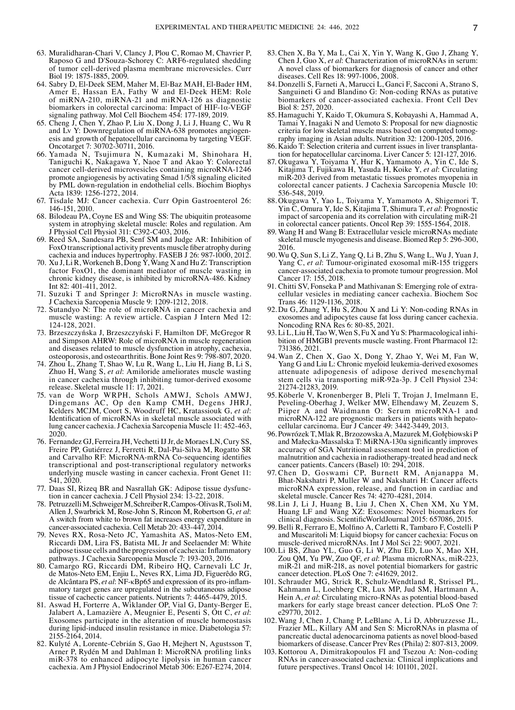- 63. Muralidharan‑Chari V, Clancy J, Plou C, Romao M, Chavrier P, Raposo G and D'Souza‑Schorey C: ARF6‑regulated shedding of tumor cell‑derived plasma membrane microvesicles. Curr Biol 19: 1875‑1885, 2009.
- 64. Sabry D, El‑Deek SEM, Maher M, El‑Baz MAH, El‑Bader HM, Amer E, Hassan EA, Fathy W and El‑Deek HEM: Role of miRNA‑210, miRNA‑21 and miRNA‑126 as diagnostic biomarkers in colorectal carcinoma: Impact of HIF‑1α‑VEGF signaling pathway. Mol Cell Biochem 454: 177‑189, 2019.
- 65. Cheng J, Chen Y, Zhao P, Liu X, Dong J, Li J, Huang C, Wu R and Lv Y: Downregulation of miRNA-638 promotes angiogenesis and growth of hepatocellular carcinoma by targeting VEGF. Oncotarget 7: 30702‑30711, 2016.
- 66. Yamada N, Tsujimura N, Kumazaki M, Shinohara H, Taniguchi K, Nakagawa Y, Naoe T and Akao Y: Colorectal cancer cell-derived microvesicles containing microRNA-1246 promote angiogenesis by activating Smad 1/5/8 signaling elicited by PML down‑regulation in endothelial cells. Biochim Biophys Acta 1839: 1256‑1272, 2014.
- 67. Tisdale MJ: Cancer cachexia. Curr Opin Gastroenterol 26: 146‑151, 2010.
- 68. Bilodeau PA, Coyne ES and Wing SS: The ubiquitin proteasome system in atrophying skeletal muscle: Roles and regulation. Am J Physiol Cell Physiol 311: C392‑C403, 2016.
- 69. Reed SA, Sandesara PB, Senf SM and Judge AR: Inhibition of FoxO transcriptional activity prevents muscle fiber atrophy during cachexia and induces hypertrophy. FASEB J 26: 987‑1000, 2012.
- 70. Xu J, Li R, Workeneh B, Dong  $\dot{Y}$ , Wang X and Hu Z: Transcription factor FoxO1, the dominant mediator of muscle wasting in chronic kidney disease, is inhibited by microRNA‑486. Kidney Int 82: 401‑411, 2012.
- 71. Suzuki T and Springer J: MicroRNAs in muscle wasting. J Cachexia Sarcopenia Muscle 9: 1209‑1212, 2018.
- 72. Sutandyo N: The role of microRNA in cancer cachexia and muscle wasting: A review article. Caspian J Intern Med 12: 124‑128, 2021.
- 73. Brzeszczyńska J, Brzeszczyński F, Hamilton DF, McGregor R and Simpson AHRW: Role of microRNA in muscle regeneration and diseases related to muscle dysfunction in atrophy, cachexia, osteoporosis, and osteoarthritis. Bone Joint Res 9: 798‑807, 2020.
- 74. Zhou L, Zhang T, Shao W, Lu R, Wang L, Liu H, Jiang B, Li S, Zhuo H, Wang S, *et al*: Amiloride ameliorates muscle wasting in cancer cachexia through inhibiting tumor-derived exosome release. Skeletal muscle 11: 17, 2021.
- 75. van de Worp WRPH, Schols AMWJ, Schols AMWJ, Dingemans AC, Op den Kamp CMH, Degens JHRJ, Kelders MCJM, Coort S, Woodruff HC, Kratassiouk G, *et al*: Identification of microRNAs in skeletal muscle associated with lung cancer cachexia. J Cachexia Sarcopenia Muscle 11: 452‑463, 2020.
- 76. Fernandez GJ, Ferreira JH, Vechetti IJJr, de Moraes LN, Cury SS, Freire PP, Gutiérrez J, Ferretti R, Dal‑Pai‑Silva M, Rogatto SR and Carvalho RF: MicroRNA‑mRNA Co‑sequencing identifies transcriptional and post‑transcriptional regulatory networks underlying muscle wasting in cancer cachexia. Front Genet 11: 541, 2020.
- 77. Daas SI, Rizeq BR and Nasrallah GK: Adipose tissue dysfunc‑ tion in cancer cachexia. J Cell Physiol 234: 13‑22, 2018.
- 78. Petruzzelli M, Schweiger M, Schreiber R, Campos-Olivas R, Tsoli M, Allen J, Swarbrick M, Rose‑John S, Rincon M, Robertson G, *et al*: A switch from white to brown fat increases energy expenditure in cancer‑associated cachexia. Cell Metab 20: 433‑447, 2014.
- 79. Neves RX, Rosa‑Neto JC, Yamashita AS, Matos‑Neto EM, Riccardi DM, Lira FS, Batista ML Jr and Seelaender M: White adipose tissue cells and the progression of cachexia: Inflammatory pathways. J Cachexia Sarcopenia Muscle 7: 193‑203, 2016.
- 80. Camargo RG, Riccardi DM, Ribeiro HQ, Carnevali LC Jr, de Matos-Neto EM, Enjiu L, Neves RX, Lima JD, Figuerêdo RG, de Alcântara PS, et al: NF- $\kappa$ Bp65 and expression of its pro-inflammatory target genes are upregulated in the subcutaneous adipose tissue of cachectic cancer patients. Nutrients 7: 4465‑4479, 2015.
- 81. Aswad H, Forterre A, Wiklander OP, Vial G, Danty-Berger E, Jalabert A, Lamazière A, Meugnier E, Pesenti S, Ott C, et al: Exosomes participate in the alteration of muscle homeostasis during lipid-induced insulin resistance in mice. Diabetologia 57: 2155‑2164, 2014.
- 82. Kulyté A, Lorente‑Cebrián S, Gao H, Mejhert N, Agustsson T, Arner P, Rydén M and Dahlman I: MicroRNA profiling links miR‑378 to enhanced adipocyte lipolysis in human cancer cachexia. Am J Physiol Endocrinol Metab 306: E267‑E274, 2014.
- 83. Chen X, Ba Y, Ma L, Cai X, Yin Y, Wang K, Guo J, Zhang Y, Chen J, Guo X, *et al*: Characterization of microRNAs in serum: A novel class of biomarkers for diagnosis of cancer and other diseases. Cell Res 18: 997‑1006, 2008.
- 84. Donzelli S, Farneti A, Marucci L, Ganci F, Sacconi A, Strano S, Sanguineti G and Blandino G: Non‑coding RNAs as putative biomarkers of cancer-associated cachexia. Front Cell Dev Biol 8: 257, 2020.
- 85. Hamaguchi Y, Kaido T, Okumura S, Kobayashi A, Hammad A, Tamai Y, Inagaki N and Uemoto S: Proposal for new diagnostic criteria for low skeletal muscle mass based on computed tomography imaging in Asian adults. Nutrition 32: 1200‑1205, 2016.
- 86. Kaido T: Selection criteria and current issues in liver transplanta‑ tion for hepatocellular carcinoma. Liver Cancer 5: 121-127, 2016.
- 87. Okugawa Y, Toiyama Y, Hur K, Yamamoto A, Yin C, Ide S, Kitajima T, Fujikawa H, Yasuda H, Koike Y, *et al*: Circulating miR‑203 derived from metastatic tissues promotes myopenia in colorectal cancer patients. J Cachexia Sarcopenia Muscle 10: 536‑548, 2019.
- 88. Okugawa Y, Yao L, Toiyama Y, Yamamoto A, Shigemori T, Yin C, Omura Y, Ide S, Kitajima T, Shimura T, *et al*: Prognostic impact of sarcopenia and its correlation with circulating miR-21 in colorectal cancer patients. Oncol Rep 39: 1555‑1564, 2018.
- 89. Wang H and Wang B: Extracellular vesicle microRNAs mediate skeletal muscle myogenesis and disease. Biomed Rep 5: 296‑300, 2016.
- 90.Wu Q, Sun S, Li Z, Yang Q, Li B, Zhu S, Wang L, Wu J, Yuan J, Yang C, *et al*: Tumour-originated exosomal miR-155 triggers cancer‑associated cachexia to promote tumour progression. Mol Cancer 17: 155, 2018.
- 91. Chitti SV, Fonseka P and Mathivanan S: Emerging role of extracellular vesicles in mediating cancer cachexia. Biochem Soc Trans 46: 1129‑1136, 2018.
- 92.Du G, Zhang Y, Hu S, Zhou X and Li Y: Non‑coding RNAs in exosomes and adipocytes cause fat loss during cancer cachexia. Noncoding RNA Res 6: 80‑85, 2021.
- 93. Li L, Liu H, Tao W, Wen S, Fu X and Yu S: Pharmacological inhibition of HMGB1 prevents muscle wasting. Front Pharmacol 12: 731386, 2021.
- 94. Wan Z, Chen X, Gao X, Dong Y, Zhao Y, Wei M, Fan W, Yang G and Liu L: Chronic myeloid leukemia-derived exosomes attenuate adipogenesis of adipose derived mesenchymal stem cells via transporting miR‑92a‑3p. J Cell Physiol 234: 21274‑21283, 2019.
- 95. Köberle V, Kronenberger B, Pleli T, Trojan J, Imelmann E, Peveling‑Oberhag J, Welker MW, Elhendawy M, Zeuzem S, Piiper A and Waidmann O: Serum microRNA‑1 and microRNA-122 are prognostic markers in patients with hepatocellular carcinoma. Eur J Cancer 49: 3442‑3449, 2013.
- 96. Powrózek T, Mlak R, Brzozowska A, Mazurek M, Gołębiowski P and Małecka‑Massalska T: MiRNA‑130a significantly improves accuracy of SGA Nutritional assessment tool in prediction of malnutrition and cachexia in radiotherapy-treated head and neck cancer patients. Cancers (Basel) 10: 294, 2018.
- 97. Chen D, Goswami CP, Burnett RM, Anjanappa M, Bhat-Nakshatri P, Muller W and Nakshatri H: Cancer affects microRNA expression, release, and function in cardiac and skeletal muscle. Cancer Res 74: 4270‑4281, 2014.
- 98. Lin J, Li J, Huang B, Liu J, Chen X, Chen XM, Xu YM, Huang LF and Wang XZ: Exosomes: Novel biomarkers for clinical diagnosis. ScientificWorldJournal 2015: 657086, 2015.
- 99. Belli R, Ferraro E, Molfino A, Carletti R, Tambaro F, Costelli P and Muscaritoli M: Liquid biopsy for cancer cachexia: Focus on muscle‑derived microRNAs. Int J Mol Sci 22: 9007, 2021.
- 100. Li BS, Zhao YL, Guo G, Li W, Zhu ED, Luo X, Mao XH, Zou QM, Yu PW, Zuo QF, *et al*: Plasma microRNAs, miR‑223, miR‑21 and miR‑218, as novel potential biomarkers for gastric cancer detection. PLoS One 7: e41629, 2012.
- 101. Schrauder MG, Strick R, Schulz‑Wendtland R, Strissel PL, Kahmann L, Loehberg CR, Lux MP, Jud SM, Hartmann A, Hein A, *et al*: Circulating micro-RNAs as potential blood-based markers for early stage breast cancer detection. PLoS One 7: e29770, 2012.
- 102. Wang J, Chen J, Chang P, LeBlanc A, Li D, Abbruzzesse JL, Frazier ML, Killary AM and Sen S: MicroRNAs in plasma of pancreatic ductal adenocarcinoma patients as novel blood‑based biomarkers of disease. Cancer Prev Res (Phila) 2: 807‑813, 2009.
- 103. Kottorou A, Dimitrakopoulos FI and Tsezou A: Non‑coding RNAs in cancer‑associated cachexia: Clinical implications and future perspectives. Transl Oncol 14: 101101, 2021.